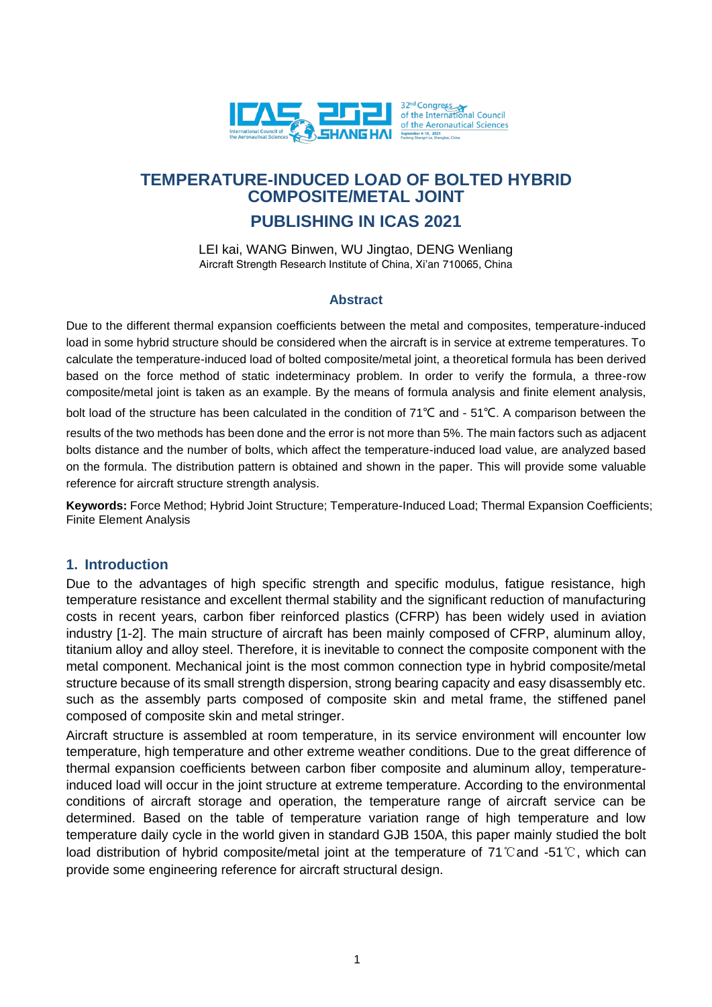

# **PUBLISHING IN ICAS 2021**

LEI kai, WANG Binwen, WU Jingtao, DENG Wenliang Aircraft Strength Research Institute of China, Xi'an 710065, China

#### **Abstract**

Due to the different thermal expansion coefficients between the metal and composites, temperature-induced load in some hybrid structure should be considered when the aircraft is in service at extreme temperatures. To calculate the temperature-induced load of bolted composite/metal joint, a theoretical formula has been derived based on the force method of static indeterminacy problem. In order to verify the formula, a three-row composite/metal joint is taken as an example. By the means of formula analysis and finite element analysis,

bolt load of the structure has been calculated in the condition of 71℃ and - 51℃. A comparison between the

results of the two methods has been done and the error is not more than 5%. The main factors such as adjacent bolts distance and the number of bolts, which affect the temperature-induced load value, are analyzed based on the formula. The distribution pattern is obtained and shown in the paper. This will provide some valuable reference for aircraft structure strength analysis.

**Keywords:** Force Method; Hybrid Joint Structure; Temperature-Induced Load; Thermal Expansion Coefficients; Finite Element Analysis

#### **1. Introduction**

Due to the advantages of high specific strength and specific modulus, fatigue resistance, high temperature resistance and excellent thermal stability and the significant reduction of manufacturing costs in recent years, carbon fiber reinforced plastics (CFRP) has been widely used in aviation industry [1-2]. The main structure of aircraft has been mainly composed of CFRP, aluminum alloy, titanium alloy and alloy steel. Therefore, it is inevitable to connect the composite component with the metal component. Mechanical joint is the most common connection type in hybrid composite/metal structure because of its small strength dispersion, strong bearing capacity and easy disassembly etc. such as the assembly parts composed of composite skin and metal frame, the stiffened panel composed of composite skin and metal stringer.

Aircraft structure is assembled at room temperature, in its service environment will encounter low temperature, high temperature and other extreme weather conditions. Due to the great difference of thermal expansion coefficients between carbon fiber composite and aluminum alloy, temperatureinduced load will occur in the joint structure at extreme temperature. According to the environmental conditions of aircraft storage and operation, the temperature range of aircraft service can be determined. Based on the table of temperature variation range of high temperature and low temperature daily cycle in the world given in standard GJB 150A, this paper mainly studied the bolt load distribution of hybrid composite/metal joint at the temperature of 71℃and -51℃, which can provide some engineering reference for aircraft structural design.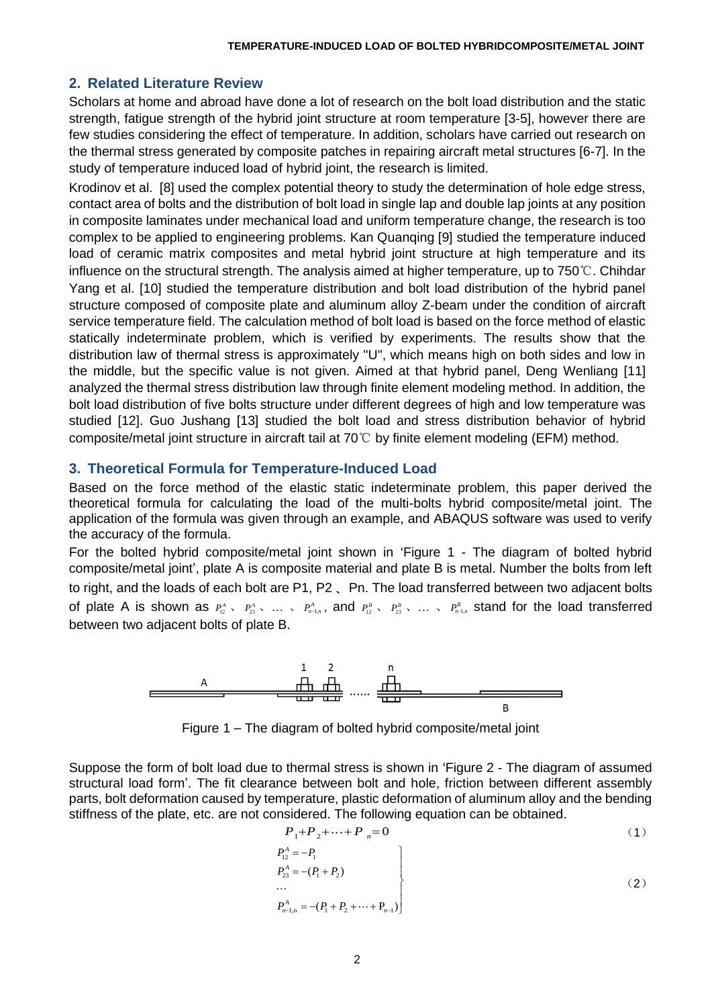### **2. Related Literature Review**

Scholars at home and abroad have done a lot of research on the bolt load distribution and the static strength, fatigue strength of the hybrid joint structure at room temperature [3-5], however there are few studies considering the effect of temperature. In addition, scholars have carried out research on the thermal stress generated by composite patches in repairing aircraft metal structures [6-7]. In the study of temperature induced load of hybrid joint, the research is limited.

Krodinov et al. [8] used the complex potential theory to study the determination of hole edge stress, contact area of bolts and the distribution of bolt load in single lap and double lap joints at any position in composite laminates under mechanical load and uniform temperature change, the research is too complex to be applied to engineering problems. Kan Quanqing [9] studied the temperature induced load of ceramic matrix composites and metal hybrid joint structure at high temperature and its influence on the structural strength. The analysis aimed at higher temperature, up to 750℃. Chihdar Yang et al. [10] studied the temperature distribution and bolt load distribution of the hybrid panel structure composed of composite plate and aluminum alloy Z-beam under the condition of aircraft service temperature field. The calculation method of bolt load is based on the force method of elastic statically indeterminate problem, which is verified by experiments. The results show that the distribution law of thermal stress is approximately "U", which means high on both sides and low in the middle, but the specific value is not given. Aimed at that hybrid panel, Deng Wenliang [11] analyzed the thermal stress distribution law through finite element modeling method. In addition, the bolt load distribution of five bolts structure under different degrees of high and low temperature was studied [12]. Guo Jushang [13] studied the bolt load and stress distribution behavior of hybrid composite/metal joint structure in aircraft tail at 70℃ by finite element modeling (EFM) method.

#### **3. Theoretical Formula for Temperature-Induced Load**

Based on the force method of the elastic static indeterminate problem, this paper derived the theoretical formula for calculating the load of the multi-bolts hybrid composite/metal joint. The application of the formula was given through an example, and ABAQUS software was used to verify the accuracy of the formula.

For the bolted hybrid composite/metal joint shown in 'Figure 1 - The diagram of bolted hybrid composite/metal joint', plate A is composite material and plate B is metal. Number the bolts from left to right, and the loads of each bolt are P1, P2 、Pn. The load transferred between two adjacent bolts of plate A is shown as  $P_1^A$ ,  $P_{23}^A$ , ...,  $P_{n-1,n}^A$ , and  $P_1^B$ ,  $P_{23}^B$ , ...,  $P_{n-1,n}^B$  stand for the load transferred between two adjacent bolts of plate B.



Figure 1 – The diagram of bolted hybrid composite/metal joint

Suppose the form of bolt load due to thermal stress is shown in 'Figure 2 - The diagram of assumed structural load form'. The fit clearance between bolt and hole, friction between different assembly parts, bolt deformation caused by temperature, plastic deformation of aluminum alloy and the bending stiffness of the plate, etc. are not considered. The following equation can be obtained.

$$
P_1 + P_2 + \dots + P_n = 0 \tag{1}
$$
\n
$$
P_{12}^A = -P_1
$$

$$
P_{23}^{A} = -(P_1 + P_2)
$$
  
\n...  
\n
$$
P_{n-1,n}^{A} = -(P_1 + P_2 + \dots + P_{n-1})
$$
  
\n(2)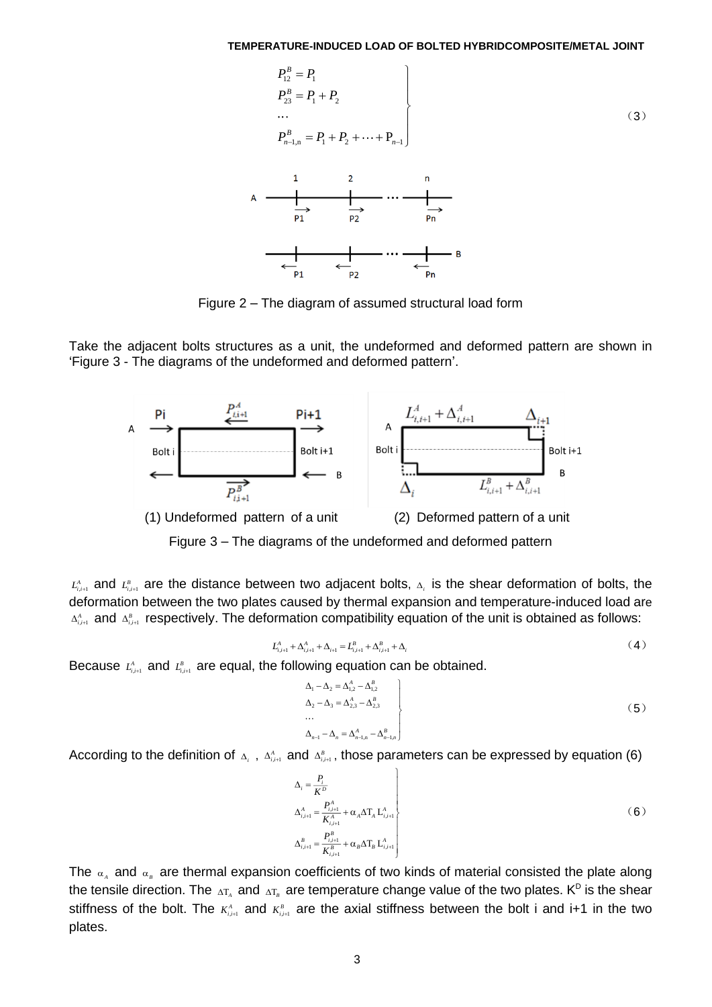

Figure 2 – The diagram of assumed structural load form

Take the adjacent bolts structures as a unit, the undeformed and deformed pattern are shown in 'Figure 3 - The diagrams of the undeformed and deformed pattern'.



Figure 3 – The diagrams of the undeformed and deformed pattern

 $L_{i,i+1}^A$  and  $L_{i,i+1}^B$  are the distance between two adjacent bolts,  $\Delta_i$  is the shear deformation of bolts, the deformation between the two plates caused by thermal expansion and temperature-induced load are  $\Delta_{i,i+1}^A$  and  $\Delta_{i,i+1}^B$  respectively. The deformation compatibility equation of the unit is obtained as follows:

$$
L_{i,i+1}^A + \Delta_{i,i+1}^A + \Delta_{i+1} = L_{i,i+1}^B + \Delta_{i,i+1}^B + \Delta_i
$$
\n(4)

Because  $L_{i,i+1}^A$  and  $L_{i,i+1}^B$  are equal, the following equation can be obtained.

$$
\Delta_1 - \Delta_2 = \Delta_{1,2}^A - \Delta_{1,2}^B
$$
\n
$$
\Delta_2 - \Delta_3 = \Delta_{2,3}^A - \Delta_{2,3}^B
$$
\n
$$
\cdots
$$
\n
$$
\Delta_{n-1} - \Delta_n = \Delta_{n-1,n}^A - \Delta_{n-1,n}^B
$$
\n(5)

According to the definition of  $\Delta_i$ ,  $\Delta_{i,i+1}^A$  and  $\Delta_{i,i+1}^B$ , those parameters can be expressed by equation (6)

$$
\Delta_{i} = \frac{P_{i}}{K^{D}}
$$
\n
$$
\Delta_{i,i+1}^{A} = \frac{P_{i,i+1}^{A}}{K_{i,i+1}^{A}} + \alpha_{A} \Delta T_{A} L_{i,i+1}^{A}
$$
\n
$$
\Delta_{i,i+1}^{B} = \frac{P_{i,i+1}^{B}}{K_{i,i+1}^{B}} + \alpha_{B} \Delta T_{B} L_{i,i+1}^{A}
$$
\n(6)

The  $\alpha_A$  and  $\alpha_B$  are thermal expansion coefficients of two kinds of material consisted the plate along the tensile direction. The  $\Delta T_{A}$  and  $\Delta T_{B}$  are temperature change value of the two plates. K<sup>D</sup> is the shear stiffness of the bolt. The  $K^A_{i,i+1}$  and  $K^B_{i,i+1}$  are the axial stiffness between the bolt i and i+1 in the two plates.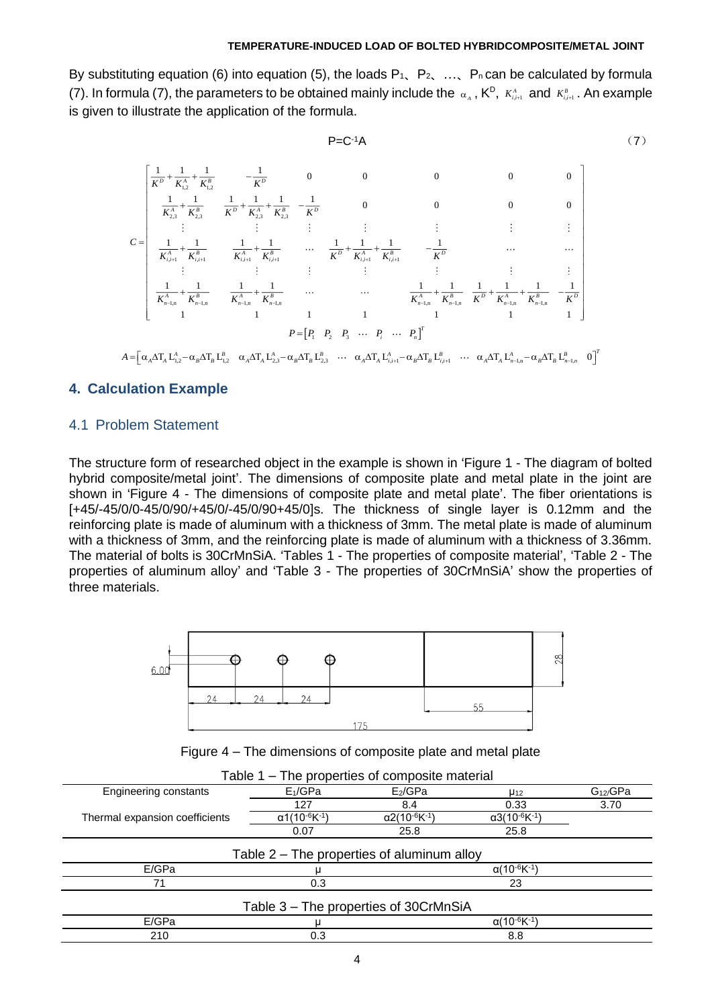By substituting equation (6) into equation (5), the loads  $P_1$ ,  $P_2$ ,  $\ldots$ ,  $P_n$  can be calculated by formula (7). In formula (7), the parameters to be obtained mainly include the  $\alpha_A$ , K<sup>D</sup>,  $K^A_{i,i+1}$  and  $K^B_{i,i+1}$ . An example is given to illustrate the application of the formula.

$$
P=C^{-1}A
$$
 (7)

$$
C = \begin{bmatrix} \frac{1}{K^{D}} + \frac{1}{K_{1,2}^{A}} + \frac{1}{K_{B,2}^{B}} & -\frac{1}{K^{D}} & 0 & 0 & 0 & 0 & 0 \\ \frac{1}{K_{2,3}^{A}} + \frac{1}{K_{2,3}^{B}} & \frac{1}{K^{D}} + \frac{1}{K_{2,3}^{A}} + \frac{1}{K_{2,3}^{B}} & -\frac{1}{K^{D}} & 0 & 0 & 0 & 0 \\ \vdots & \vdots & \vdots & \vdots & \vdots & \vdots & \vdots & \vdots & \vdots \\ \frac{1}{K_{i,i+1}^{A}} + \frac{1}{K_{i,i+1}^{B}} & \frac{1}{K_{i,i+1}^{A}} + \frac{1}{K_{i,i+1}^{B}} & \cdots & \frac{1}{K^{D}} + \frac{1}{K_{i,i+1}^{A}} + \frac{1}{K_{i,i+1}^{B}} & -\frac{1}{K^{D}} & \cdots & \cdots \\ \vdots & \vdots & \vdots & \vdots & \vdots & \vdots & \vdots & \vdots & \vdots \\ \frac{1}{K_{m-1,n}^{A}} + \frac{1}{K_{m-1,n}^{B}} & \frac{1}{K_{n-1,n}^{A}} + \frac{1}{K_{n-1,n}^{B}} & \cdots & \cdots & \frac{1}{K_{n-1,n}^{A}} + \frac{1}{K_{n-1,n}^{B}} & \frac{1}{K^{D}} + \frac{1}{K_{n-1,n}^{A}} + \frac{1}{K_{n-1,n}^{B}} - \frac{1}{K^{D}} \\ 1 & 1 & 1 & 1 & 1 & 1 & 1 & 1 & 1 \end{bmatrix}
$$

$$
P = \begin{bmatrix} P_1 & P_2 & P_3 & \cdots & P_n \end{bmatrix}^T
$$

$$
A = \begin{bmatrix} \alpha_A \Delta T_A L_{1,2}^A - \alpha_B \Delta T_B L_{1,2}^B & \alpha_A \Delta T_A L_{2,3}^A - \alpha_B \Delta T_B L_{2,3}^B & \cdots & \alpha_A \Delta T_A L_{i,i+1}^A - \alpha_B \Delta T_B L_{i,i+1}^B & \cdots & \alpha_A \Delta T_A L_{n-1,n}^A - \alpha_B \Delta
$$

*T*

### **4. Calculation Example**

#### 4.1 Problem Statement

The structure form of researched object in the example is shown in 'Figure 1 - The diagram of bolted hybrid composite/metal joint'. The dimensions of composite plate and metal plate in the joint are shown in 'Figure 4 - The dimensions of composite plate and metal plate'. The fiber orientations is [+45/-45/0/0-45/0/90/+45/0/-45/0/90+45/0]s. The thickness of single layer is 0.12mm and the reinforcing plate is made of aluminum with a thickness of 3mm. The metal plate is made of aluminum with a thickness of 3mm, and the reinforcing plate is made of aluminum with a thickness of 3.36mm. The material of bolts is 30CrMnSiA. 'Tables 1 - The properties of composite material', 'Table 2 - The properties of aluminum alloy' and 'Table 3 - The properties of 30CrMnSiA' show the properties of three materials.



Figure 4 – The dimensions of composite plate and metal plate

|                                |                                               | Table 1 – The properties of composite material |                                                        |              |
|--------------------------------|-----------------------------------------------|------------------------------------------------|--------------------------------------------------------|--------------|
| Engineering constants          | $E_1/GPa$                                     | E <sub>2</sub> /GPa<br>U <sub>12</sub>         |                                                        | $G_{12}/GPa$ |
|                                | 127                                           | 8.4                                            | 0.33                                                   | 3.70         |
| Thermal expansion coefficients | $\alpha$ 1(10 <sup>-6</sup> K <sup>-1</sup> ) | $\alpha$ 2(10 <sup>-6</sup> K $\overline{1}$ ) | $\alpha 3(10^{-6}K^{-1})$                              |              |
|                                | 0.07                                          | 25.8                                           | 25.8                                                   |              |
|                                |                                               | Table $2$ – The properties of aluminum alloy   |                                                        |              |
| E/GPa<br>71                    | 0.3                                           |                                                | $\alpha$ (10 <sup>-6</sup> K $\overline{^{1}}$ )<br>23 |              |
|                                |                                               |                                                |                                                        |              |
|                                |                                               | Table 3 – The properties of 30CrMnSiA          |                                                        |              |
| E/GPa                          |                                               |                                                | $\alpha$ (10 <sup>-6</sup> K $\overline{^{-1}}$ )      |              |
| 210                            | 0.3                                           |                                                | 8.8                                                    |              |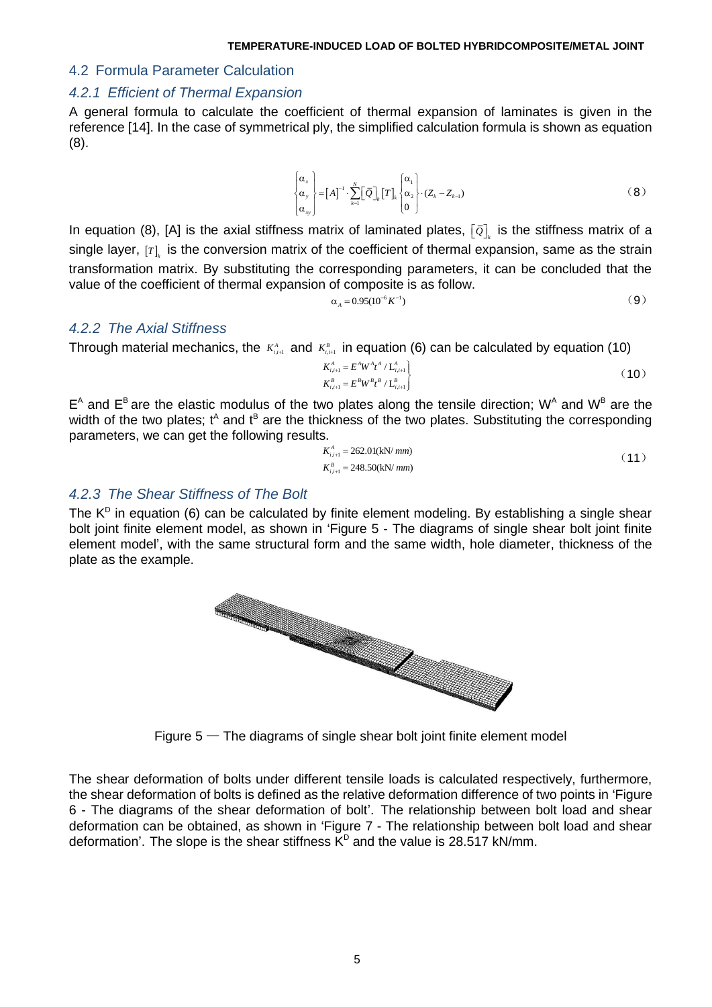#### 4.2 Formula Parameter Calculation

#### *4.2.1 Efficient of Thermal Expansion*

A general formula to calculate the coefficient of thermal expansion of laminates is given in the reference [14]. In the case of symmetrical ply, the simplified calculation formula is shown as equation (8).

$$
\begin{Bmatrix} \alpha_x \\ \alpha_y \\ \alpha_{xy} \end{Bmatrix} = [A]^{-1} \cdot \sum_{k=1}^N [\overline{Q}]_k [T]_k \begin{Bmatrix} \alpha_1 \\ \alpha_2 \\ 0 \end{Bmatrix} \cdot (Z_k - Z_{k-1}) \tag{8}
$$

In equation (8), [A] is the axial stiffness matrix of laminated plates,  $[\bar{\varrho}]_{\!_k}$  is the stiffness matrix of a single layer, [T], is the conversion matrix of the coefficient of thermal expansion, same as the strain transformation matrix. By substituting the corresponding parameters, it can be concluded that the value of the coefficient of thermal expansion of composite is as follow.

$$
\alpha_A = 0.95(10^{-6} K^{-1}) \tag{9}
$$

### *4.2.2 The Axial Stiffness*

Through material mechanics, the  $K^A_{i,i+1}$  and  $K^B_{i,i+1}$  in equation (6) can be calculated by equation (10)

$$
K_{i,i+1}^{A} = E^{A} W^{A} t^{A} / L_{i,i+1}^{A}
$$
  
\n
$$
K_{i,i+1}^{B} = E^{B} W^{B} t^{B} / L_{i,i+1}^{B}
$$
\n(10)

 $E^A$  and  $E^B$  are the elastic modulus of the two plates along the tensile direction; W<sup>A</sup> and W<sup>B</sup> are the width of the two plates;  $t^A$  and  $t^B$  are the thickness of the two plates. Substituting the corresponding parameters, we can get the following results.

$$
K_{i,i+1}^{A} = 262.01(kN/mm)
$$
  
\n
$$
K_{i,i+1}^{B} = 248.50(kN/mm)
$$
\n(11)

### *4.2.3 The Shear Stiffness of The Bolt*

The  $K^D$  in equation (6) can be calculated by finite element modeling. By establishing a single shear bolt joint finite element model, as shown in 'Figure 5 - The diagrams of single shear bolt joint finite element model', with the same structural form and the same width, hole diameter, thickness of the plate as the example.



Figure  $5-$  The diagrams of single shear bolt joint finite element model

The shear deformation of bolts under different tensile loads is calculated respectively, furthermore, the shear deformation of bolts is defined as the relative deformation difference of two points in 'Figure 6 - The diagrams of the shear deformation of bolt'. The relationship between bolt load and shear deformation can be obtained, as shown in 'Figure 7 - The relationship between bolt load and shear deformation'. The slope is the shear stiffness  $K^D$  and the value is 28.517 kN/mm.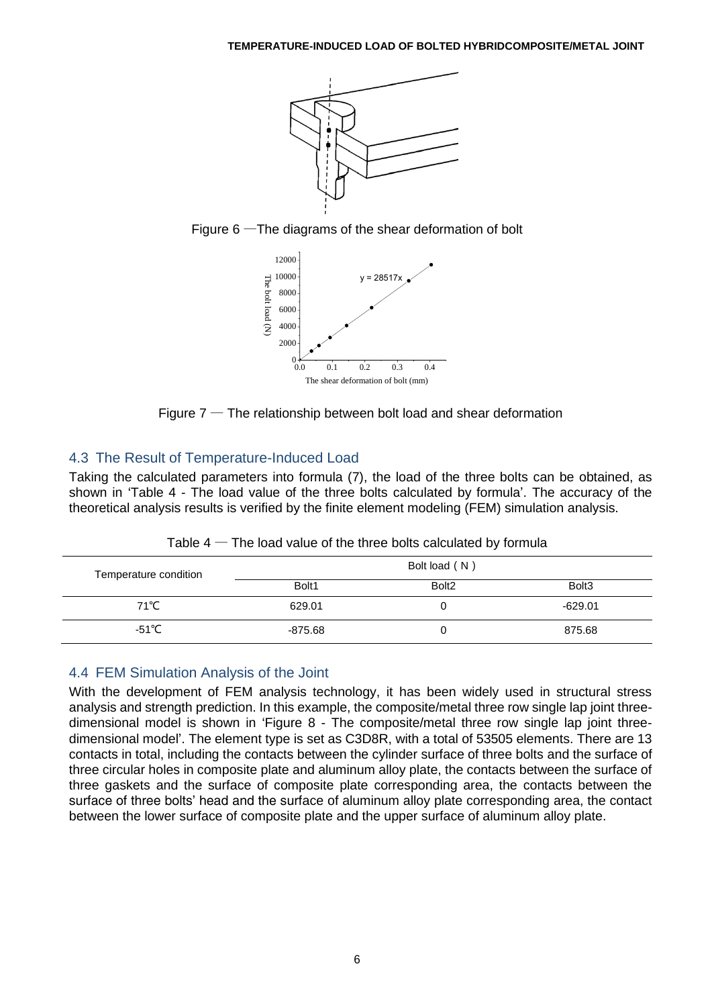







### 4.3 The Result of Temperature-Induced Load

Taking the calculated parameters into formula (7), the load of the three bolts can be obtained, as shown in 'Table 4 - The load value of the three bolts calculated by formula'. The accuracy of the theoretical analysis results is verified by the finite element modeling (FEM) simulation analysis.

| Temperature condition |           | Bolt load (N)     |                   |
|-----------------------|-----------|-------------------|-------------------|
|                       | Bolt1     | Bolt <sub>2</sub> | Bolt <sub>3</sub> |
| $71^{\circ}$ C        | 629.01    |                   | $-629.01$         |
| -51°C                 | $-875.68$ |                   | 875.68            |

Table  $4 -$  The load value of the three bolts calculated by formula

### 4.4 FEM Simulation Analysis of the Joint

With the development of FEM analysis technology, it has been widely used in structural stress analysis and strength prediction. In this example, the composite/metal three row single lap joint threedimensional model is shown in 'Figure 8 - The composite/metal three row single lap joint threedimensional model'. The element type is set as C3D8R, with a total of 53505 elements. There are 13 contacts in total, including the contacts between the cylinder surface of three bolts and the surface of three circular holes in composite plate and aluminum alloy plate, the contacts between the surface of three gaskets and the surface of composite plate corresponding area, the contacts between the surface of three bolts' head and the surface of aluminum alloy plate corresponding area, the contact between the lower surface of composite plate and the upper surface of aluminum alloy plate.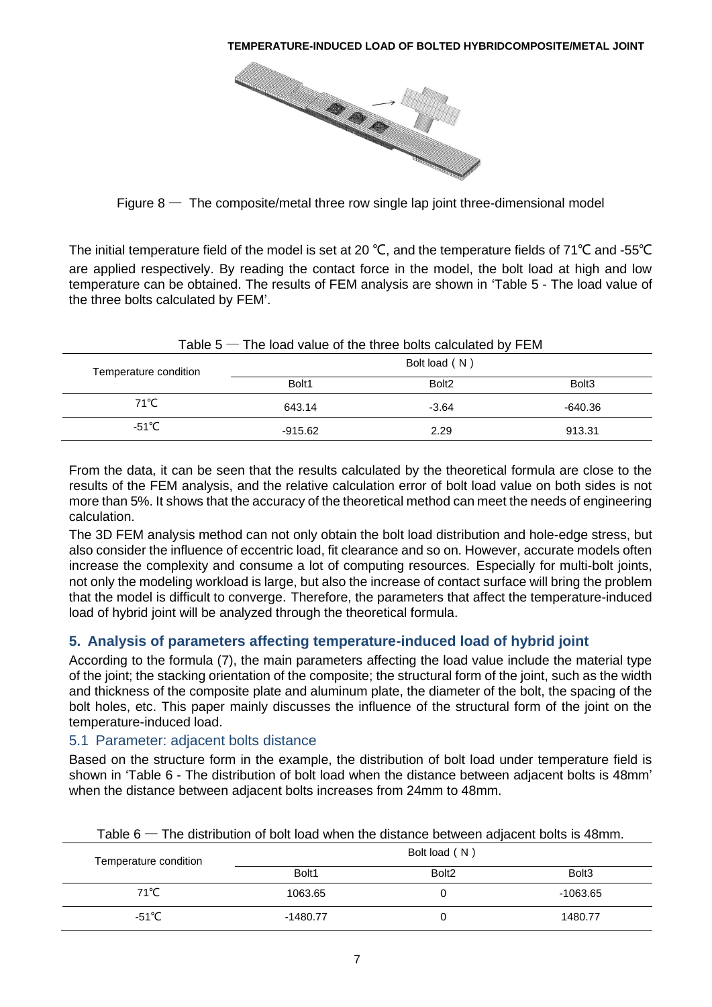

Figure  $8 -$  The composite/metal three row single lap joint three-dimensional model

The initial temperature field of the model is set at 20 ℃, and the temperature fields of 71℃ and -55℃ are applied respectively. By reading the contact force in the model, the bolt load at high and low temperature can be obtained. The results of FEM analysis are shown in 'Table 5 - The load value of the three bolts calculated by FEM'.

| Table $5-$ The load value of the three bolts calculated by FEM |           |                   |                   |
|----------------------------------------------------------------|-----------|-------------------|-------------------|
| Temperature condition                                          |           | Bolt load (N)     |                   |
|                                                                | Bolt1     | Bolt <sub>2</sub> | Bolt <sub>3</sub> |
| 71°C                                                           | 643.14    | $-3.64$           | -640.36           |
| -51 $^{\circ}$ C                                               | $-915.62$ | 2.29              | 913.31            |

From the data, it can be seen that the results calculated by the theoretical formula are close to the results of the FEM analysis, and the relative calculation error of bolt load value on both sides is not more than 5%. It shows that the accuracy of the theoretical method can meet the needs of engineering calculation.

The 3D FEM analysis method can not only obtain the bolt load distribution and hole-edge stress, but also consider the influence of eccentric load, fit clearance and so on. However, accurate models often increase the complexity and consume a lot of computing resources. Especially for multi-bolt joints, not only the modeling workload is large, but also the increase of contact surface will bring the problem that the model is difficult to converge. Therefore, the parameters that affect the temperature-induced load of hybrid joint will be analyzed through the theoretical formula.

## **5. Analysis of parameters affecting temperature-induced load of hybrid joint**

According to the formula (7), the main parameters affecting the load value include the material type of the joint; the stacking orientation of the composite; the structural form of the joint, such as the width and thickness of the composite plate and aluminum plate, the diameter of the bolt, the spacing of the bolt holes, etc. This paper mainly discusses the influence of the structural form of the joint on the temperature-induced load.

## 5.1 Parameter: adjacent bolts distance

Based on the structure form in the example, the distribution of bolt load under temperature field is shown in 'Table 6 - The distribution of bolt load when the distance between adjacent bolts is 48mm' when the distance between adjacent bolts increases from 24mm to 48mm.

| Temperature condition |            | Bolt load (N)     |                   |
|-----------------------|------------|-------------------|-------------------|
|                       | Bolt1      | Bolt <sub>2</sub> | Bolt <sub>3</sub> |
| 71°C                  | 1063.65    |                   | -1063.65          |
| $-51^{\circ}$ C       | $-1480.77$ |                   | 1480.77           |

Table 6 — The distribution of bolt load when the distance between adjacent bolts is 48mm.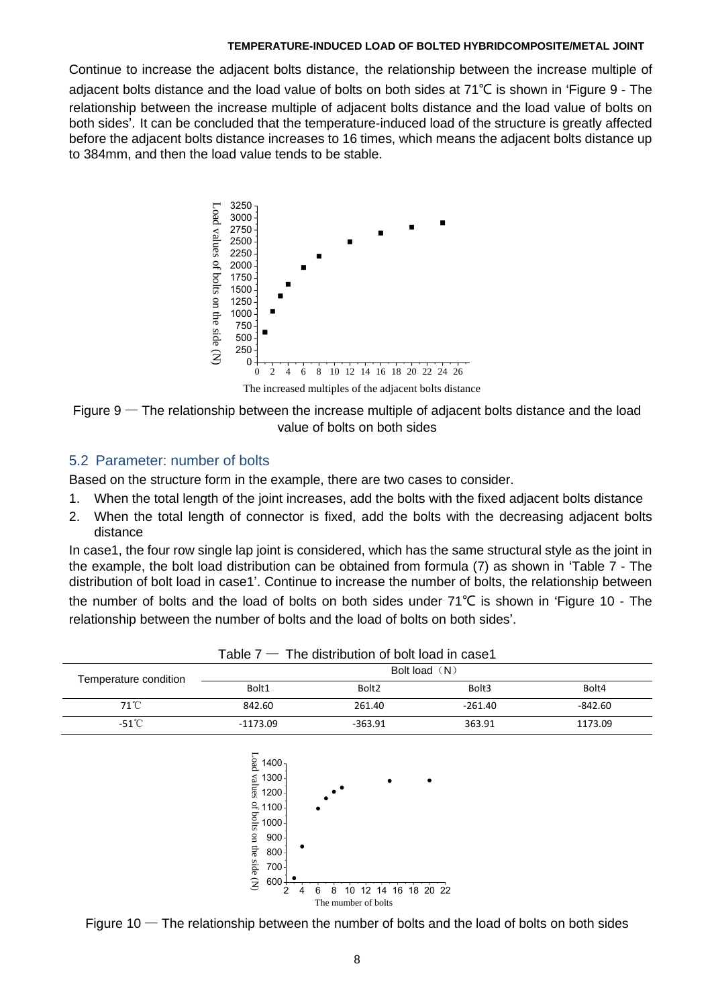Continue to increase the adjacent bolts distance, the relationship between the increase multiple of adjacent bolts distance and the load value of bolts on both sides at 71℃ is shown in 'Figure 9 - The relationship between the increase multiple of adjacent bolts distance and the load value of bolts on both sides'. It can be concluded that the temperature-induced load of the structure is greatly affected before the adjacent bolts distance increases to 16 times, which means the adjacent bolts distance up to 384mm, and then the load value tends to be stable.



Figure  $9$  — The relationship between the increase multiple of adjacent bolts distance and the load value of bolts on both sides

### 5.2 Parameter: number of bolts

Based on the structure form in the example, there are two cases to consider.

- 1. When the total length of the joint increases, add the bolts with the fixed adjacent bolts distance
- 2. When the total length of connector is fixed, add the bolts with the decreasing adjacent bolts distance

In case1, the four row single lap joint is considered, which has the same structural style as the joint in the example, the bolt load distribution can be obtained from formula (7) as shown in 'Table 7 - The distribution of bolt load in case1'. Continue to increase the number of bolts, the relationship between the number of bolts and the load of bolts on both sides under 71℃ is shown in 'Figure 10 - The relationship between the number of bolts and the load of bolts on both sides'.

|                       | ı avı <del>c</del> ı | THE GISTINGHOLL OF DOIL IVAG ILL CASE L |           |           |
|-----------------------|----------------------|-----------------------------------------|-----------|-----------|
| Temperature condition | Bolt load (N)        |                                         |           |           |
|                       | Bolt1                | Bolt <sub>2</sub>                       | Bolt3     | Bolt4     |
| $71^{\circ}$ C        | 842.60               | 261.40                                  | $-261.40$ | $-842.60$ |
| $-51^{\circ}$ C       | $-1173.09$           | $-363.91$                               | 363.91    | 1173.09   |

Table 7 — The distribution of bolt load in case1



Figure 10  $-$  The relationship between the number of bolts and the load of bolts on both sides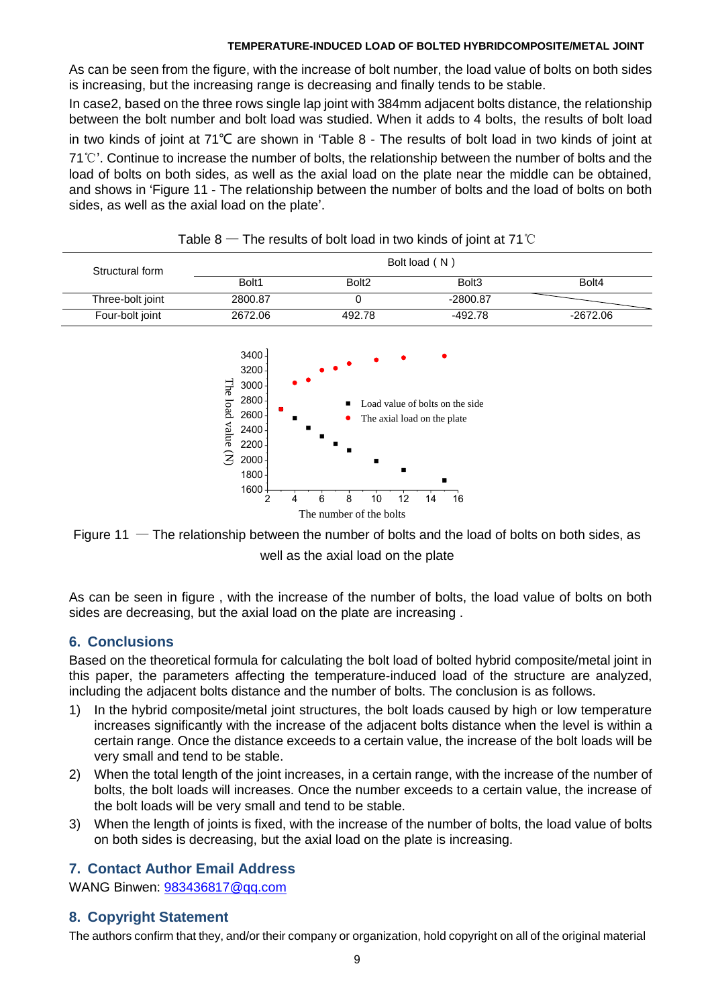As can be seen from the figure, with the increase of bolt number, the load value of bolts on both sides is increasing, but the increasing range is decreasing and finally tends to be stable.

In case2, based on the three rows single lap joint with 384mm adjacent bolts distance, the relationship between the bolt number and bolt load was studied. When it adds to 4 bolts, the results of bolt load in two kinds of joint at 71℃ are shown in 'Table 8 - The results of bolt load in two kinds of joint at 71℃'. Continue to increase the number of bolts, the relationship between the number of bolts and the load of bolts on both sides, as well as the axial load on the plate near the middle can be obtained, and shows in 'Figure 11 - The relationship between the number of bolts and the load of bolts on both sides, as well as the axial load on the plate'.









As can be seen in figure , with the increase of the number of bolts, the load value of bolts on both sides are decreasing, but the axial load on the plate are increasing .

## **6. Conclusions**

Based on the theoretical formula for calculating the bolt load of bolted hybrid composite/metal joint in this paper, the parameters affecting the temperature-induced load of the structure are analyzed, including the adjacent bolts distance and the number of bolts. The conclusion is as follows.

- 1) In the hybrid composite/metal joint structures, the bolt loads caused by high or low temperature increases significantly with the increase of the adjacent bolts distance when the level is within a certain range. Once the distance exceeds to a certain value, the increase of the bolt loads will be very small and tend to be stable.
- 2) When the total length of the joint increases, in a certain range, with the increase of the number of bolts, the bolt loads will increases. Once the number exceeds to a certain value, the increase of the bolt loads will be very small and tend to be stable.
- 3) When the length of joints is fixed, with the increase of the number of bolts, the load value of bolts on both sides is decreasing, but the axial load on the plate is increasing.

## **7. Contact Author Email Address**

WANG Binwen: [983436817@qq.com](mailto:983436817@qq.com)

## **8. Copyright Statement**

The authors confirm that they, and/or their company or organization, hold copyright on all of the original material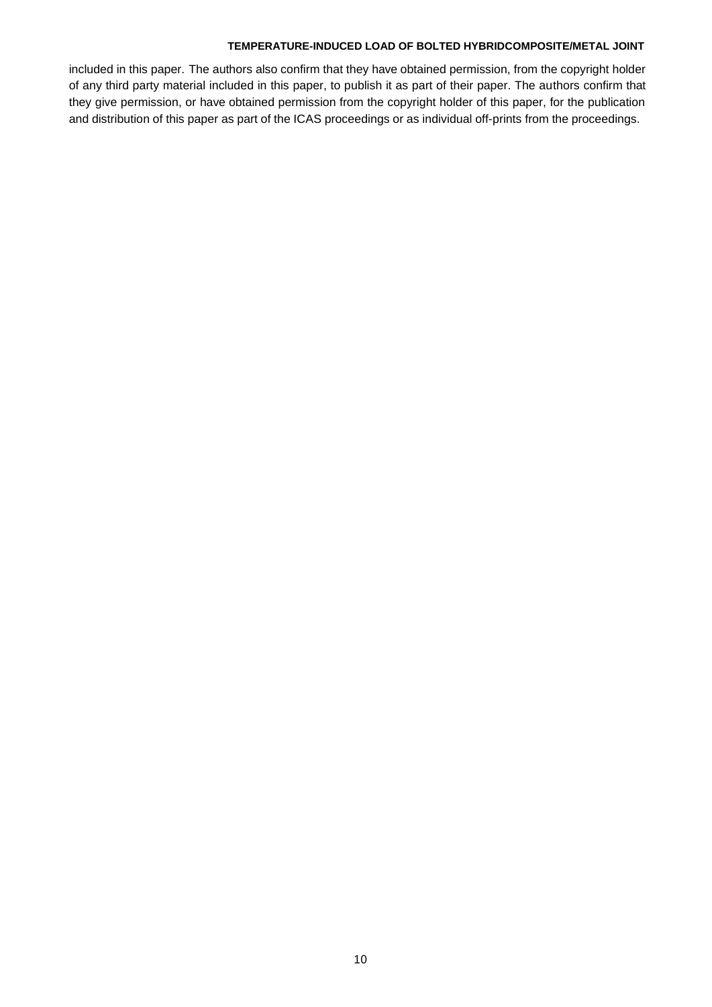included in this paper. The authors also confirm that they have obtained permission, from the copyright holder of any third party material included in this paper, to publish it as part of their paper. The authors confirm that they give permission, or have obtained permission from the copyright holder of this paper, for the publication and distribution of this paper as part of the ICAS proceedings or as individual off-prints from the proceedings.